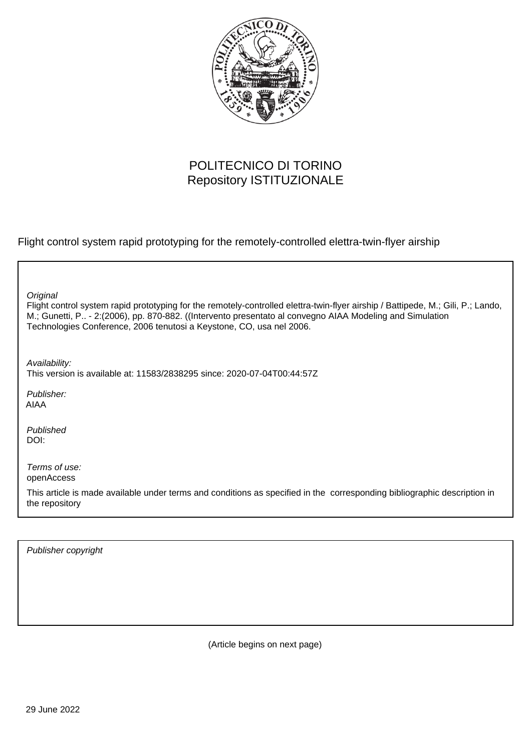

# POLITECNICO DI TORINO Repository ISTITUZIONALE

Flight control system rapid prototyping for the remotely-controlled elettra-twin-flyer airship

| Original<br>Flight control system rapid prototyping for the remotely-controlled elettra-twin-flyer airship / Battipede, M.; Gili, P.; Lando,<br>M.; Gunetti, P - 2:(2006), pp. 870-882. ((Intervento presentato al convegno AIAA Modeling and Simulation<br>Technologies Conference, 2006 tenutosi a Keystone, CO, usa nel 2006. |
|----------------------------------------------------------------------------------------------------------------------------------------------------------------------------------------------------------------------------------------------------------------------------------------------------------------------------------|
| Availability:<br>This version is available at: 11583/2838295 since: 2020-07-04T00:44:57Z                                                                                                                                                                                                                                         |
| Publisher:<br>AIAA                                                                                                                                                                                                                                                                                                               |
| Published<br>DOI:                                                                                                                                                                                                                                                                                                                |
| Terms of use:<br>openAccess                                                                                                                                                                                                                                                                                                      |
| This article is made available under terms and conditions as specified in the corresponding bibliographic description in<br>the repository                                                                                                                                                                                       |

Publisher copyright

(Article begins on next page)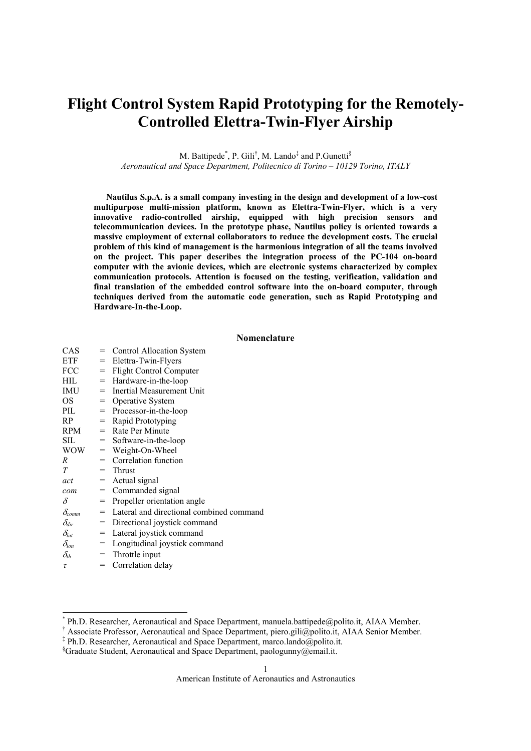# **Flight Control System Rapid Prototyping for the Remotely-Controlled Elettra-Twin-Flyer Airship**

M. Battipede<sup>\*</sup>, P. Gili<sup>†</sup>, M. Lando<sup>‡</sup> and P. Gunetti<sup>§</sup> *Aeronautical and Space Department, Politecnico di Torino – 10129 Torino, ITALY* 

**Nautilus S.p.A. is a small company investing in the design and development of a low-cost multipurpose multi-mission platform, known as Elettra-Twin-Flyer, which is a very innovative radio-controlled airship, equipped with high precision sensors and telecommunication devices. In the prototype phase, Nautilus policy is oriented towards a massive employment of external collaborators to reduce the development costs. The crucial problem of this kind of management is the harmonious integration of all the teams involved on the project. This paper describes the integration process of the PC-104 on-board computer with the avionic devices, which are electronic systems characterized by complex communication protocols. Attention is focused on the testing, verification, validation and final translation of the embedded control software into the on-board computer, through techniques derived from the automatic code generation, such as Rapid Prototyping and Hardware-In-the-Loop.** 

## **Nomenclature**

| CAS                              | $=$ | Control Allocation System                |
|----------------------------------|-----|------------------------------------------|
| ETF                              | $=$ | Elettra-Twin-Flyers                      |
| <b>FCC</b>                       | $=$ | <b>Flight Control Computer</b>           |
| <b>HIL</b>                       | $=$ | Hardware-in-the-loop                     |
| IMU                              | $=$ | Inertial Measurement Unit                |
| OS.                              | $=$ | <b>Operative System</b>                  |
| PIL                              | $=$ | Processor-in-the-loop                    |
| RP                               | $=$ | Rapid Prototyping                        |
| RPM                              | $=$ | Rate Per Minute                          |
| SIL                              |     | $=$ Software-in-the-loop                 |
| WOW                              |     | $=$ Weight-On-Wheel                      |
| R                                |     | = Correlation function                   |
| T                                | $=$ | Thrust                                   |
| act                              | $=$ | Actual signal                            |
| com                              |     | $=$ Commanded signal                     |
| δ                                | $=$ | Propeller orientation angle              |
| $\delta_{comm}$                  | $=$ | Lateral and directional combined command |
| $\delta_{dir}$                   | $=$ | Directional joystick command             |
| $\delta_{lat}$                   | $=$ | Lateral joystick command                 |
| $\delta_{lon}$                   | $=$ | Longitudinal joystick command            |
| $\delta_{\scriptscriptstyle th}$ | $=$ | Throttle input                           |
| τ                                | $=$ | Correlation delay                        |

 $\overline{a}$ 

<sup>\*</sup> Ph.D. Researcher, Aeronautical and Space Department, manuela.battipede@polito.it, AIAA Member.

<sup>†</sup> Associate Professor, Aeronautical and Space Department, piero.gili@polito.it, AIAA Senior Member.

<sup>‡</sup> Ph.D. Researcher, Aeronautical and Space Department, marco.lando@polito.it.

<sup>§</sup> Graduate Student, Aeronautical and Space Department, paologunny@email.it.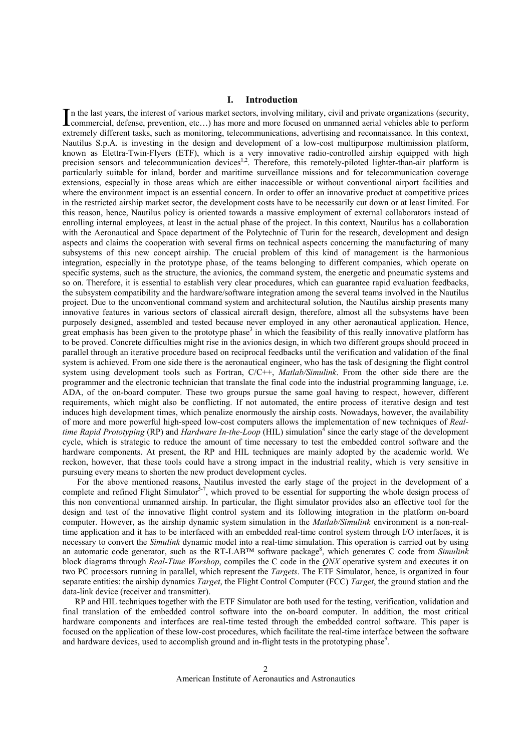## **I. Introduction**

n the last years, the interest of various market sectors, involving military, civil and private organizations (security, In the last years, the interest of various market sectors, involving military, civil and private organizations (security, commercial, defense, prevention, etc...) has more and more focused on unmanned aerial vehicles able extremely different tasks, such as monitoring, telecommunications, advertising and reconnaissance. In this context, Nautilus S.p.A. is investing in the design and development of a low-cost multipurpose multimission platform, known as Elettra-Twin-Flyers (ETF), which is a very innovative radio-controlled airship equipped with high precision sensors and telecommunication devices<sup>1,2</sup>. Therefore, this remotely-piloted lighter-than-air platform is particularly suitable for inland, border and maritime surveillance missions and for telecommunication coverage extensions, especially in those areas which are either inaccessible or without conventional airport facilities and where the environment impact is an essential concern. In order to offer an innovative product at competitive prices in the restricted airship market sector, the development costs have to be necessarily cut down or at least limited. For this reason, hence, Nautilus policy is oriented towards a massive employment of external collaborators instead of enrolling internal employees, at least in the actual phase of the project. In this context, Nautilus has a collaboration with the Aeronautical and Space department of the Polytechnic of Turin for the research, development and design aspects and claims the cooperation with several firms on technical aspects concerning the manufacturing of many subsystems of this new concept airship. The crucial problem of this kind of management is the harmonious integration, especially in the prototype phase, of the teams belonging to different companies, which operate on specific systems, such as the structure, the avionics, the command system, the energetic and pneumatic systems and so on. Therefore, it is essential to establish very clear procedures, which can guarantee rapid evaluation feedbacks, the subsystem compatibility and the hardware/software integration among the several teams involved in the Nautilus project. Due to the unconventional command system and architectural solution, the Nautilus airship presents many innovative features in various sectors of classical aircraft design, therefore, almost all the subsystems have been purposely designed, assembled and tested because never employed in any other aeronautical application. Hence, great emphasis has been given to the prototype phase<sup>3</sup> in which the feasibility of this really innovative platform has to be proved. Concrete difficulties might rise in the avionics design, in which two different groups should proceed in parallel through an iterative procedure based on reciprocal feedbacks until the verification and validation of the final system is achieved. From one side there is the aeronautical engineer, who has the task of designing the flight control system using development tools such as Fortran, C/C++, *Matlab/Simulink*. From the other side there are the programmer and the electronic technician that translate the final code into the industrial programming language, i.e. ADA, of the on-board computer. These two groups pursue the same goal having to respect, however, different requirements, which might also be conflicting. If not automated, the entire process of iterative design and test induces high development times, which penalize enormously the airship costs. Nowadays, however, the availability of more and more powerful high-speed low-cost computers allows the implementation of new techniques of *Real* $t$ *time Rapid Prototyping* (RP) and *Hardware In-the-Loop* (HIL) simulation<sup>4</sup> since the early stage of the development cycle, which is strategic to reduce the amount of time necessary to test the embedded control software and the hardware components. At present, the RP and HIL techniques are mainly adopted by the academic world. We reckon, however, that these tools could have a strong impact in the industrial reality, which is very sensitive in pursuing every means to shorten the new product development cycles.

For the above mentioned reasons, Nautilus invested the early stage of the project in the development of a complete and refined Flight Simulator<sup>5-7</sup>, which proved to be essential for supporting the whole design process of this non conventional unmanned airship. In particular, the flight simulator provides also an effective tool for the design and test of the innovative flight control system and its following integration in the platform on-board computer. However, as the airship dynamic system simulation in the *Matlab/Simulink* environment is a non-realtime application and it has to be interfaced with an embedded real-time control system through I/O interfaces, it is necessary to convert the *Simulink* dynamic model into a real-time simulation. This operation is carried out by using an automatic code generator, such as the RT-LAB™ software package<sup>8</sup>, which generates C code from *Simulink* block diagrams through *Real-Time Worshop*, compiles the C code in the *QNX* operative system and executes it on two PC processors running in parallel, which represent the *Targets*. The ETF Simulator, hence, is organized in four separate entities: the airship dynamics *Target*, the Flight Control Computer (FCC) *Target*, the ground station and the data-link device (receiver and transmitter).

RP and HIL techniques together with the ETF Simulator are both used for the testing, verification, validation and final translation of the embedded control software into the on-board computer. In addition, the most critical hardware components and interfaces are real-time tested through the embedded control software. This paper is focused on the application of these low-cost procedures, which facilitate the real-time interface between the software and hardware devices, used to accomplish ground and in-flight tests in the prototyping phase<sup>9</sup>.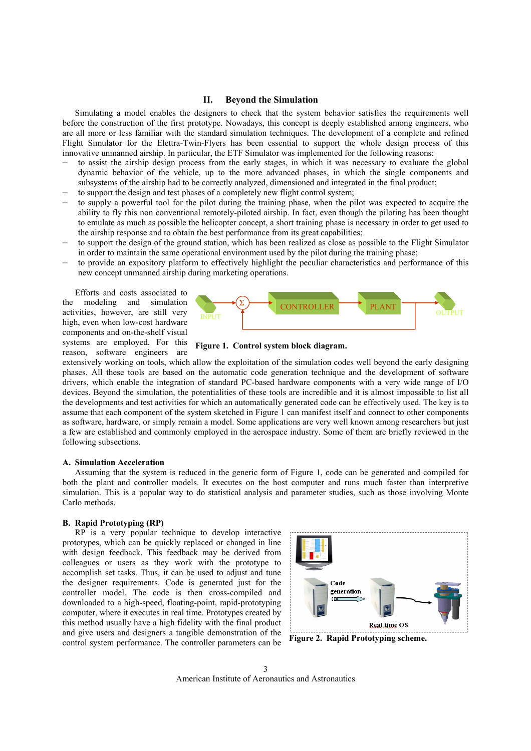## **II. Beyond the Simulation**

 Simulating a model enables the designers to check that the system behavior satisfies the requirements well before the construction of the first prototype. Nowadays, this concept is deeply established among engineers, who are all more or less familiar with the standard simulation techniques. The development of a complete and refined Flight Simulator for the Elettra-Twin-Flyers has been essential to support the whole design process of this innovative unmanned airship. In particular, the ETF Simulator was implemented for the following reasons:

- to assist the airship design process from the early stages, in which it was necessary to evaluate the global dynamic behavior of the vehicle, up to the more advanced phases, in which the single components and subsystems of the airship had to be correctly analyzed, dimensioned and integrated in the final product;
- to support the design and test phases of a completely new flight control system;
- to supply a powerful tool for the pilot during the training phase, when the pilot was expected to acquire the ability to fly this non conventional remotely-piloted airship. In fact, even though the piloting has been thought to emulate as much as possible the helicopter concept, a short training phase is necessary in order to get used to the airship response and to obtain the best performance from its great capabilities;
- to support the design of the ground station, which has been realized as close as possible to the Flight Simulator in order to maintain the same operational environment used by the pilot during the training phase;
- to provide an expository platform to effectively highlight the peculiar characteristics and performance of this new concept unmanned airship during marketing operations.

Efforts and costs associated to the modeling and simulation activities, however, are still very high, even when low-cost hardware components and on-the-shelf visual systems are employed. For this reason, software engineers are





extensively working on tools, which allow the exploitation of the simulation codes well beyond the early designing phases. All these tools are based on the automatic code generation technique and the development of software drivers, which enable the integration of standard PC-based hardware components with a very wide range of I/O devices. Beyond the simulation, the potentialities of these tools are incredible and it is almost impossible to list all the developments and test activities for which an automatically generated code can be effectively used. The key is to assume that each component of the system sketched in Figure 1 can manifest itself and connect to other components as software, hardware, or simply remain a model. Some applications are very well known among researchers but just a few are established and commonly employed in the aerospace industry. Some of them are briefly reviewed in the following subsections.

## **A. Simulation Acceleration**

Assuming that the system is reduced in the generic form of Figure 1, code can be generated and compiled for both the plant and controller models. It executes on the host computer and runs much faster than interpretive simulation. This is a popular way to do statistical analysis and parameter studies, such as those involving Monte Carlo methods.

#### **B. Rapid Prototyping (RP)**

RP is a very popular technique to develop interactive prototypes, which can be quickly replaced or changed in line with design feedback. This feedback may be derived from colleagues or users as they work with the prototype to accomplish set tasks. Thus, it can be used to adjust and tune the designer requirements. Code is generated just for the controller model. The code is then cross-compiled and downloaded to a high-speed, floating-point, rapid-prototyping computer, where it executes in real time. Prototypes created by this method usually have a high fidelity with the final product and give users and designers a tangible demonstration of the control system performance. The controller parameters can be



**Figure 2. Rapid Prototyping scheme.**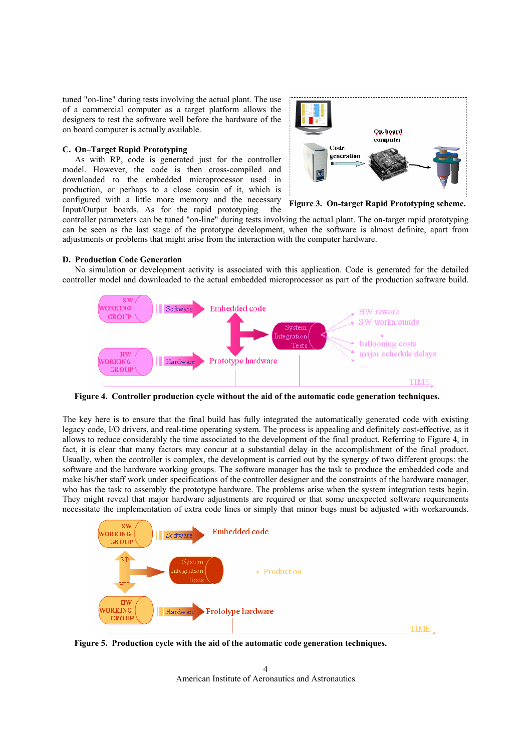tuned "on-line" during tests involving the actual plant. The use of a commercial computer as a target platform allows the designers to test the software well before the hardware of the on board computer is actually available.

## **C. On–Target Rapid Prototyping**

As with RP, code is generated just for the controller model. However, the code is then cross-compiled and downloaded to the embedded microprocessor used in production, or perhaps to a close cousin of it, which is configured with a little more memory and the necessary Input/Output boards. As for the rapid prototyping the



**Figure 3. On-target Rapid Prototyping scheme.** 

controller parameters can be tuned "on-line" during tests involving the actual plant. The on-target rapid prototyping can be seen as the last stage of the prototype development, when the software is almost definite, apart from adjustments or problems that might arise from the interaction with the computer hardware.

## **D. Production Code Generation**

No simulation or development activity is associated with this application. Code is generated for the detailed controller model and downloaded to the actual embedded microprocessor as part of the production software build.



**Figure 4. Controller production cycle without the aid of the automatic code generation techniques.** 

The key here is to ensure that the final build has fully integrated the automatically generated code with existing legacy code, I/O drivers, and real-time operating system. The process is appealing and definitely cost-effective, as it allows to reduce considerably the time associated to the development of the final product. Referring to Figure 4, in fact, it is clear that many factors may concur at a substantial delay in the accomplishment of the final product. Usually, when the controller is complex, the development is carried out by the synergy of two different groups: the software and the hardware working groups. The software manager has the task to produce the embedded code and make his/her staff work under specifications of the controller designer and the constraints of the hardware manager, who has the task to assembly the prototype hardware. The problems arise when the system integration tests begin. They might reveal that major hardware adjustments are required or that some unexpected software requirements necessitate the implementation of extra code lines or simply that minor bugs must be adjusted with workarounds.



**Figure 5. Production cycle with the aid of the automatic code generation techniques.** 

American Institute of Aeronautics and Astronautics  $\overline{\mathbf{A}}$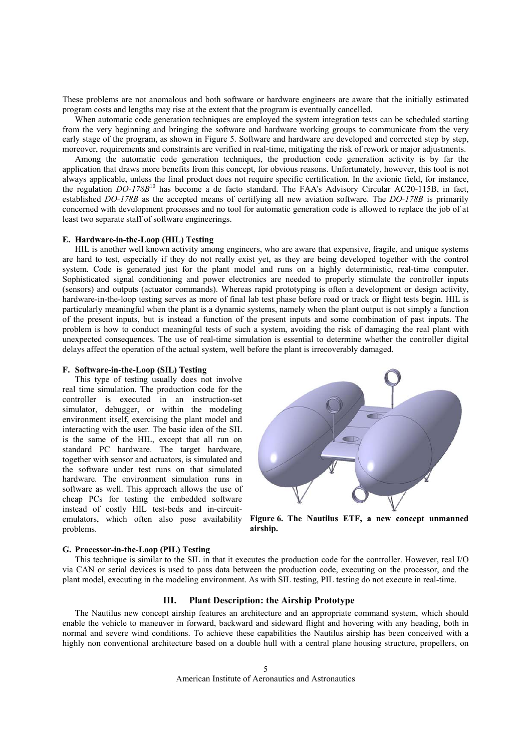These problems are not anomalous and both software or hardware engineers are aware that the initially estimated program costs and lengths may rise at the extent that the program is eventually cancelled.

When automatic code generation techniques are employed the system integration tests can be scheduled starting from the very beginning and bringing the software and hardware working groups to communicate from the very early stage of the program, as shown in Figure 5. Software and hardware are developed and corrected step by step, moreover, requirements and constraints are verified in real-time, mitigating the risk of rework or major adjustments.

Among the automatic code generation techniques, the production code generation activity is by far the application that draws more benefits from this concept, for obvious reasons. Unfortunately, however, this tool is not always applicable, unless the final product does not require specific certification. In the avionic field, for instance, the regulation *DO-178B*10 has become a de facto standard. The FAA's Advisory Circular AC20-115B, in fact, established *DO-178B* as the accepted means of certifying all new aviation software. The *DO-178B* is primarily concerned with development processes and no tool for automatic generation code is allowed to replace the job of at least two separate staff of software engineerings.

# **E. Hardware-in-the-Loop (HIL) Testing**

HIL is another well known activity among engineers, who are aware that expensive, fragile, and unique systems are hard to test, especially if they do not really exist yet, as they are being developed together with the control system. Code is generated just for the plant model and runs on a highly deterministic, real-time computer. Sophisticated signal conditioning and power electronics are needed to properly stimulate the controller inputs (sensors) and outputs (actuator commands). Whereas rapid prototyping is often a development or design activity, hardware-in-the-loop testing serves as more of final lab test phase before road or track or flight tests begin. HIL is particularly meaningful when the plant is a dynamic systems, namely when the plant output is not simply a function of the present inputs, but is instead a function of the present inputs and some combination of past inputs. The problem is how to conduct meaningful tests of such a system, avoiding the risk of damaging the real plant with unexpected consequences. The use of real-time simulation is essential to determine whether the controller digital delays affect the operation of the actual system, well before the plant is irrecoverably damaged.

## **F. Software-in-the-Loop (SIL) Testing**

This type of testing usually does not involve real time simulation. The production code for the controller is executed in an instruction-set simulator, debugger, or within the modeling environment itself, exercising the plant model and interacting with the user. The basic idea of the SIL is the same of the HIL, except that all run on standard PC hardware. The target hardware, together with sensor and actuators, is simulated and the software under test runs on that simulated hardware. The environment simulation runs in software as well. This approach allows the use of cheap PCs for testing the embedded software instead of costly HIL test-beds and in-circuitemulators, which often also pose availability problems.



**Figure 6. The Nautilus ETF, a new concept unmanned airship.** 

#### **G. Processor-in-the-Loop (PIL) Testing**

This technique is similar to the SIL in that it executes the production code for the controller. However, real I/O via CAN or serial devices is used to pass data between the production code, executing on the processor, and the plant model, executing in the modeling environment. As with SIL testing, PIL testing do not execute in real-time.

# **III. Plant Description: the Airship Prototype**

The Nautilus new concept airship features an architecture and an appropriate command system, which should enable the vehicle to maneuver in forward, backward and sideward flight and hovering with any heading, both in normal and severe wind conditions. To achieve these capabilities the Nautilus airship has been conceived with a highly non conventional architecture based on a double hull with a central plane housing structure, propellers, on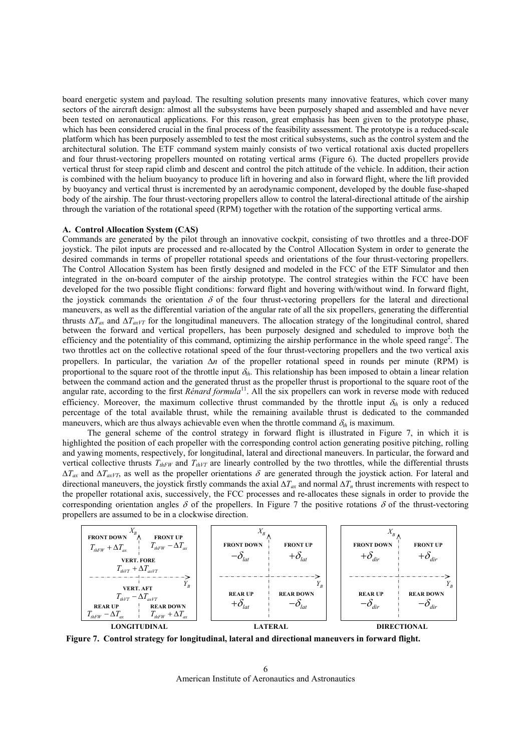board energetic system and payload. The resulting solution presents many innovative features, which cover many sectors of the aircraft design: almost all the subsystems have been purposely shaped and assembled and have never been tested on aeronautical applications. For this reason, great emphasis has been given to the prototype phase, which has been considered crucial in the final process of the feasibility assessment. The prototype is a reduced-scale platform which has been purposely assembled to test the most critical subsystems, such as the control system and the architectural solution. The ETF command system mainly consists of two vertical rotational axis ducted propellers and four thrust-vectoring propellers mounted on rotating vertical arms (Figure 6). The ducted propellers provide vertical thrust for steep rapid climb and descent and control the pitch attitude of the vehicle. In addition, their action is combined with the helium buoyancy to produce lift in hovering and also in forward flight, where the lift provided by buoyancy and vertical thrust is incremented by an aerodynamic component, developed by the double fuse-shaped body of the airship. The four thrust-vectoring propellers allow to control the lateral-directional attitude of the airship through the variation of the rotational speed (RPM) together with the rotation of the supporting vertical arms.

#### **A. Control Allocation System (CAS)**

Commands are generated by the pilot through an innovative cockpit, consisting of two throttles and a three-DOF joystick. The pilot inputs are processed and re-allocated by the Control Allocation System in order to generate the desired commands in terms of propeller rotational speeds and orientations of the four thrust-vectoring propellers. The Control Allocation System has been firstly designed and modeled in the FCC of the ETF Simulator and then integrated in the on-board computer of the airship prototype. The control strategies within the FCC have been developed for the two possible flight conditions: forward flight and hovering with/without wind. In forward flight, the joystick commands the orientation  $\delta$  of the four thrust-vectoring propellers for the lateral and directional maneuvers, as well as the differential variation of the angular rate of all the six propellers, generating the differential thrusts ∆*Tax* and ∆*TaxVT* for the longitudinal maneuvers. The allocation strategy of the longitudinal control, shared between the forward and vertical propellers, has been purposely designed and scheduled to improve both the efficiency and the potentiality of this command, optimizing the airship performance in the whole speed range<sup>2</sup>. The two throttles act on the collective rotational speed of the four thrust-vectoring propellers and the two vertical axis propellers. In particular, the variation ∆*n* of the propeller rotational speed in rounds per minute (RPM) is proportional to the square root of the throttle input  $\delta_{th}$ . This relationship has been imposed to obtain a linear relation between the command action and the generated thrust as the propeller thrust is proportional to the square root of the angular rate, according to the first *Rénard formula*<sup>11</sup>. All the six propellers can work in reverse mode with reduced efficiency. Moreover, the maximum collective thrust commanded by the throttle input  $\delta_{th}$  is only a reduced percentage of the total available thrust, while the remaining available thrust is dedicated to the commanded maneuvers, which are thus always achievable even when the throttle command  $\delta_{th}$  is maximum.

 The general scheme of the control strategy in forward flight is illustrated in Figure 7, in which it is highlighted the position of each propeller with the corresponding control action generating positive pitching, rolling and yawing moments, respectively, for longitudinal, lateral and directional maneuvers. In particular, the forward and vertical collective thrusts  $T_{thFW}$  and  $T_{thVT}$  are linearly controlled by the two throttles, while the differential thrusts  $\Delta T_{ax}$  and  $\Delta T_{axV}$ , as well as the propeller orientations  $\delta$  are generated through the joystick action. For lateral and directional maneuvers, the joystick firstly commands the axial  $\Delta T_{ax}$  and normal  $\Delta T_n$  thrust increments with respect to the propeller rotational axis, successively, the FCC processes and re-allocates these signals in order to provide the corresponding orientation angles  $\delta$  of the propellers. In Figure 7 the positive rotations  $\delta$  of the thrust-vectoring propellers are assumed to be in a clockwise direction.



**Figure 7. Control strategy for longitudinal, lateral and directional maneuvers in forward flight.**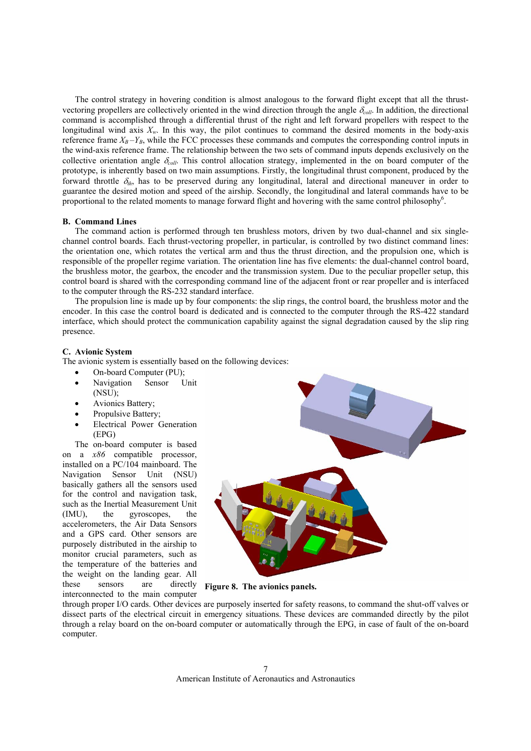The control strategy in hovering condition is almost analogous to the forward flight except that all the thrustvectoring propellers are collectively oriented in the wind direction through the angle δ*coll*. In addition, the directional command is accomplished through a differential thrust of the right and left forward propellers with respect to the longitudinal wind axis  $X_w$ . In this way, the pilot continues to command the desired moments in the body-axis reference frame  $X_B - Y_B$ , while the FCC processes these commands and computes the corresponding control inputs in the wind-axis reference frame. The relationship between the two sets of command inputs depends exclusively on the collective orientation angle δ*coll*. This control allocation strategy, implemented in the on board computer of the prototype, is inherently based on two main assumptions. Firstly, the longitudinal thrust component, produced by the forward throttle δ*th*, has to be preserved during any longitudinal, lateral and directional maneuver in order to guarantee the desired motion and speed of the airship. Secondly, the longitudinal and lateral commands have to be proportional to the related moments to manage forward flight and hovering with the same control philosophy<sup>6</sup>.

#### **B. Command Lines**

The command action is performed through ten brushless motors, driven by two dual-channel and six singlechannel control boards. Each thrust-vectoring propeller, in particular, is controlled by two distinct command lines: the orientation one, which rotates the vertical arm and thus the thrust direction, and the propulsion one, which is responsible of the propeller regime variation. The orientation line has five elements: the dual-channel control board, the brushless motor, the gearbox, the encoder and the transmission system. Due to the peculiar propeller setup, this control board is shared with the corresponding command line of the adjacent front or rear propeller and is interfaced to the computer through the RS-232 standard interface.

The propulsion line is made up by four components: the slip rings, the control board, the brushless motor and the encoder. In this case the control board is dedicated and is connected to the computer through the RS-422 standard interface, which should protect the communication capability against the signal degradation caused by the slip ring presence.

## **C. Avionic System**

The avionic system is essentially based on the following devices:

- On-board Computer (PU);
- Navigation Sensor Unit (NSU);
- Avionics Battery;
- Propulsive Battery;
- Electrical Power Generation (EPG)

The on-board computer is based on a *x86* compatible processor, installed on a PC/104 mainboard. The Navigation Sensor Unit (NSU) basically gathers all the sensors used for the control and navigation task, such as the Inertial Measurement Unit (IMU), the gyroscopes, the accelerometers, the Air Data Sensors and a GPS card. Other sensors are purposely distributed in the airship to monitor crucial parameters, such as the temperature of the batteries and the weight on the landing gear. All these sensors are directly interconnected to the main computer



**Figure 8. The avionics panels.** 

through proper I/O cards. Other devices are purposely inserted for safety reasons, to command the shut-off valves or dissect parts of the electrical circuit in emergency situations. These devices are commanded directly by the pilot through a relay board on the on-board computer or automatically through the EPG, in case of fault of the on-board computer.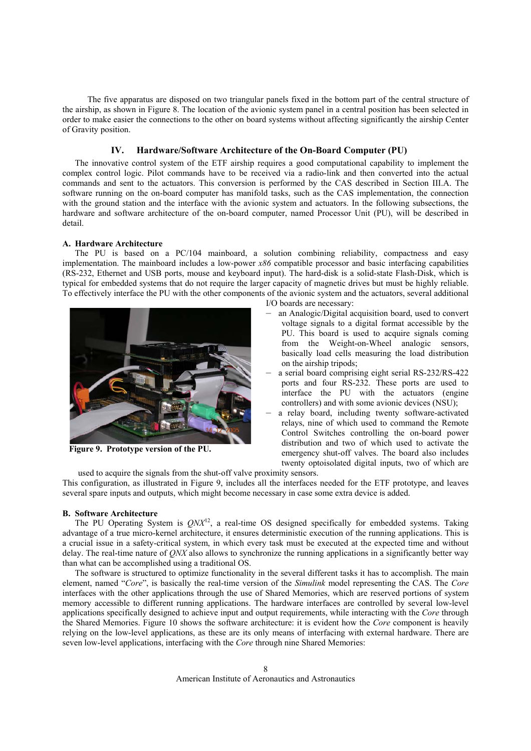The five apparatus are disposed on two triangular panels fixed in the bottom part of the central structure of the airship, as shown in Figure 8. The location of the avionic system panel in a central position has been selected in order to make easier the connections to the other on board systems without affecting significantly the airship Center of Gravity position.

# **IV. Hardware/Software Architecture of the On-Board Computer (PU)**

The innovative control system of the ETF airship requires a good computational capability to implement the complex control logic. Pilot commands have to be received via a radio-link and then converted into the actual commands and sent to the actuators. This conversion is performed by the CAS described in Section III.A. The software running on the on-board computer has manifold tasks, such as the CAS implementation, the connection with the ground station and the interface with the avionic system and actuators. In the following subsections, the hardware and software architecture of the on-board computer, named Processor Unit (PU), will be described in detail.

#### **A. Hardware Architecture**

The PU is based on a PC/104 mainboard, a solution combining reliability, compactness and easy implementation. The mainboard includes a low-power *x86* compatible processor and basic interfacing capabilities (RS-232, Ethernet and USB ports, mouse and keyboard input). The hard-disk is a solid-state Flash-Disk, which is typical for embedded systems that do not require the larger capacity of magnetic drives but must be highly reliable. To effectively interface the PU with the other components of the avionic system and the actuators, several additional



**Figure 9. Prototype version of the PU.** 

I/O boards are necessary:

- an Analogic/Digital acquisition board, used to convert voltage signals to a digital format accessible by the PU. This board is used to acquire signals coming from the Weight-on-Wheel analogic sensors, basically load cells measuring the load distribution on the airship tripods;
- a serial board comprising eight serial RS-232/RS-422 ports and four RS-232. These ports are used to interface the PU with the actuators (engine controllers) and with some avionic devices (NSU);
- a relay board, including twenty software-activated relays, nine of which used to command the Remote Control Switches controlling the on-board power distribution and two of which used to activate the emergency shut-off valves. The board also includes twenty optoisolated digital inputs, two of which are

used to acquire the signals from the shut-off valve proximity sensors. This configuration, as illustrated in Figure 9, includes all the interfaces needed for the ETF prototype, and leaves several spare inputs and outputs, which might become necessary in case some extra device is added.

#### **B. Software Architecture**

The PU Operating System is *QNX*12, a real-time OS designed specifically for embedded systems. Taking advantage of a true micro-kernel architecture, it ensures deterministic execution of the running applications. This is a crucial issue in a safety-critical system, in which every task must be executed at the expected time and without delay. The real-time nature of *QNX* also allows to synchronize the running applications in a significantly better way than what can be accomplished using a traditional OS.

The software is structured to optimize functionality in the several different tasks it has to accomplish. The main element, named "*Core*", is basically the real-time version of the *Simulink* model representing the CAS. The *Core* interfaces with the other applications through the use of Shared Memories, which are reserved portions of system memory accessible to different running applications. The hardware interfaces are controlled by several low-level applications specifically designed to achieve input and output requirements, while interacting with the *Core* through the Shared Memories. Figure 10 shows the software architecture: it is evident how the *Core* component is heavily relying on the low-level applications, as these are its only means of interfacing with external hardware. There are seven low-level applications, interfacing with the *Core* through nine Shared Memories: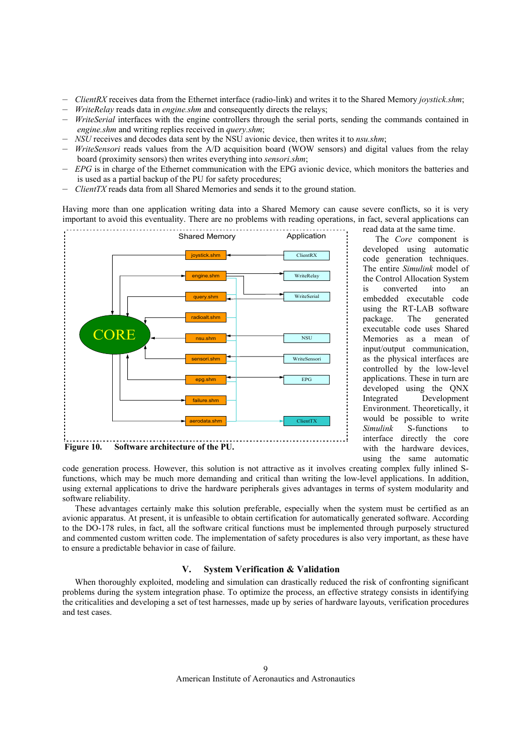- *ClientRX* receives data from the Ethernet interface (radio-link) and writes it to the Shared Memory *joystick.shm*;
- *WriteRelay* reads data in *engine.shm* and consequently directs the relays;
- *WriteSerial* interfaces with the engine controllers through the serial ports, sending the commands contained in *engine.shm* and writing replies received in *query.shm*;
- *NSU* receives and decodes data sent by the NSU avionic device, then writes it to *nsu.shm*;
- *WriteSensori* reads values from the A/D acquisition board (WOW sensors) and digital values from the relay board (proximity sensors) then writes everything into *sensori.shm*;
- *EPG* is in charge of the Ethernet communication with the EPG avionic device, which monitors the batteries and is used as a partial backup of the PU for safety procedures;
- *ClientTX* reads data from all Shared Memories and sends it to the ground station.

Having more than one application writing data into a Shared Memory can cause severe conflicts, so it is very important to avoid this eventuality. There are no problems with reading operations, in fact, several applications can read data at the same time.



The *Core* component is developed using automatic code generation techniques. The entire *Simulink* model of the Control Allocation System is converted into an embedded executable code using the RT-LAB software package. The generated executable code uses Shared Memories as a mean of input/output communication, as the physical interfaces are controlled by the low-level applications. These in turn are developed using the QNX Integrated Development Environment. Theoretically, it would be possible to write *Simulink* S-functions to interface directly the core with the hardware devices, using the same automatic

code generation process. However, this solution is not attractive as it involves creating complex fully inlined Sfunctions, which may be much more demanding and critical than writing the low-level applications. In addition, using external applications to drive the hardware peripherals gives advantages in terms of system modularity and software reliability.

These advantages certainly make this solution preferable, especially when the system must be certified as an avionic apparatus. At present, it is unfeasible to obtain certification for automatically generated software. According to the DO-178 rules, in fact, all the software critical functions must be implemented through purposely structured and commented custom written code. The implementation of safety procedures is also very important, as these have to ensure a predictable behavior in case of failure.

## **V. System Verification & Validation**

When thoroughly exploited, modeling and simulation can drastically reduced the risk of confronting significant problems during the system integration phase. To optimize the process, an effective strategy consists in identifying the criticalities and developing a set of test harnesses, made up by series of hardware layouts, verification procedures and test cases.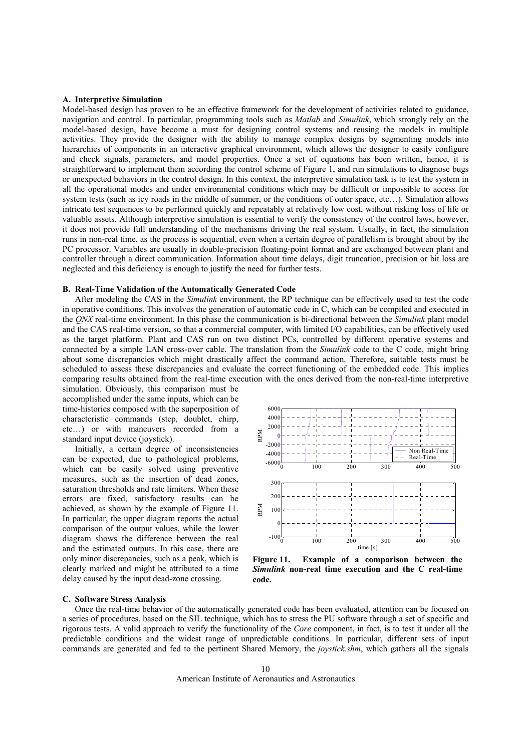#### **A. Interpretive Simulation**

Model-based design has proven to be an effective framework for the development of activities related to guidance, navigation and control. In particular, programming tools such as *Matlab* and *Simulink*, which strongly rely on the model-based design, have become a must for designing control systems and reusing the models in multiple activities. They provide the designer with the ability to manage complex designs by segmenting models into hierarchies of components in an interactive graphical environment, which allows the designer to easily configure and check signals, parameters, and model properties. Once a set of equations has been written, hence, it is straightforward to implement them according the control scheme of Figure 1, and run simulations to diagnose bugs or unexpected behaviors in the control design. In this context, the interpretive simulation task is to test the system in all the operational modes and under environmental conditions which may be difficult or impossible to access for system tests (such as icy roads in the middle of summer, or the conditions of outer space, etc...). Simulation allows intricate test sequences to be performed quickly and repeatably at relatively low cost, without risking loss of life or valuable assets. Although interpretive simulation is essential to verify the consistency of the control laws, however, it does not provide full understanding of the mechanisms driving the real system. Usually, in fact, the simulation runs in non-real time, as the process is sequential, even when a certain degree of parallelism is brought about by the PC processor. Variables are usually in double-precision floating-point format and are exchanged between plant and controller through a direct communication. Information about time delays, digit truncation, precision or bit loss are neglected and this deficiency is enough to justify the need for further tests.

#### **B. Real-Time Validation of the Automatically Generated Code**

After modeling the CAS in the *Simulink* environment, the RP technique can be effectively used to test the code in operative conditions. This involves the generation of automatic code in C, which can be compiled and executed in the *QNX* real-time environment. In this phase the communication is bi-directional between the *Simulink* plant model and the CAS real-time version, so that a commercial computer, with limited I/O capabilities, can be effectively used as the target platform. Plant and CAS run on two distinct PCs, controlled by different operative systems and connected by a simple LAN cross-over cable. The translation from the *Simulink* code to the C code, might bring about some discrepancies which might drastically affect the command action. Therefore, suitable tests must be scheduled to assess these discrepancies and evaluate the correct functioning of the embedded code. This implies comparing results obtained from the real-time execution with the ones derived from the non-real-time interpretive

simulation. Obviously, this comparison must be accomplished under the same inputs, which can be time-histories composed with the superposition of characteristic commands (step, doublet, chirp, etc…) or with maneuvers recorded from a standard input device (joystick).

Initially, a certain degree of inconsistencies can be expected, due to pathological problems, which can be easily solved using preventive measures, such as the insertion of dead zones, saturation thresholds and rate limiters. When these errors are fixed, satisfactory results can be achieved, as shown by the example of Figure 11. In particular, the upper diagram reports the actual comparison of the output values, while the lower diagram shows the difference between the real and the estimated outputs. In this case, there are only minor discrepancies, such as a peak, which is clearly marked and might be attributed to a time delay caused by the input dead-zone crossing.



**Figure 11. Example of a comparison between the**  *Simulink* **non-real time execution and the C real-time code.** 

# **C. Software Stress Analysis**

Once the real-time behavior of the automatically generated code has been evaluated, attention can be focused on a series of procedures, based on the SIL technique, which has to stress the PU software through a set of specific and rigorous tests. A valid approach to verify the functionality of the *Core* component, in fact, is to test it under all the predictable conditions and the widest range of unpredictable conditions. In particular, different sets of input commands are generated and fed to the pertinent Shared Memory, the *joystick.shm*, which gathers all the signals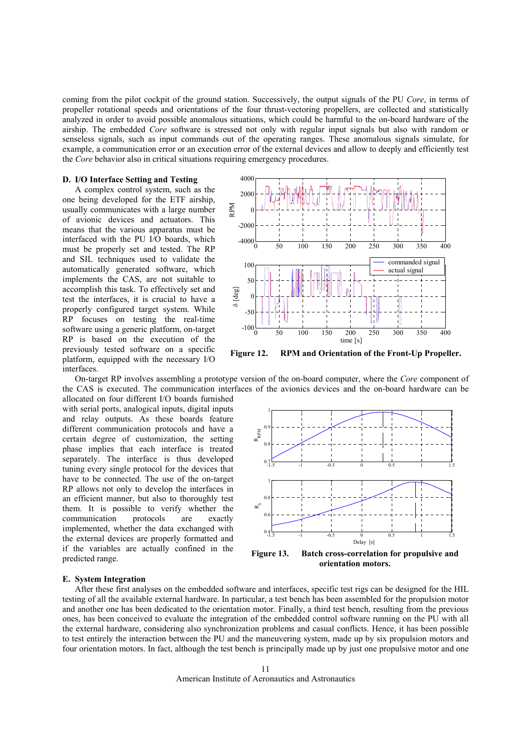coming from the pilot cockpit of the ground station. Successively, the output signals of the PU *Core*, in terms of propeller rotational speeds and orientations of the four thrust-vectoring propellers, are collected and statistically analyzed in order to avoid possible anomalous situations, which could be harmful to the on-board hardware of the airship. The embedded *Core* software is stressed not only with regular input signals but also with random or senseless signals, such as input commands out of the operating ranges. These anomalous signals simulate, for example, a communication error or an execution error of the external devices and allow to deeply and efficiently test the *Core* behavior also in critical situations requiring emergency procedures.

#### **D. I/O Interface Setting and Testing**

A complex control system, such as the one being developed for the ETF airship, usually communicates with a large number of avionic devices and actuators. This means that the various apparatus must be interfaced with the PU I/O boards, which must be properly set and tested. The RP and SIL techniques used to validate the automatically generated software, which implements the CAS, are not suitable to accomplish this task. To effectively set and test the interfaces, it is crucial to have a properly configured target system. While RP focuses on testing the real-time software using a generic platform, on-target RP is based on the execution of the previously tested software on a specific platform, equipped with the necessary I/O interfaces.



**Figure 12. RPM and Orientation of the Front-Up Propeller.** 

On-target RP involves assembling a prototype version of the on-board computer, where the *Core* component of the CAS is executed. The communication interfaces of the avionics devices and the on-board hardware can be

allocated on four different I/O boards furnished with serial ports, analogical inputs, digital inputs and relay outputs. As these boards feature different communication protocols and have a certain degree of customization, the setting phase implies that each interface is treated separately. The interface is thus developed tuning every single protocol for the devices that have to be connected. The use of the on-target RP allows not only to develop the interfaces in an efficient manner, but also to thoroughly test them. It is possible to verify whether the communication protocols are exactly implemented, whether the data exchanged with the external devices are properly formatted and if the variables are actually confined in the predicted range.



**Figure 13. Batch cross-correlation for propulsive and orientation motors.** 

#### **E. System Integration**

After these first analyses on the embedded software and interfaces, specific test rigs can be designed for the HIL testing of all the available external hardware. In particular, a test bench has been assembled for the propulsion motor and another one has been dedicated to the orientation motor. Finally, a third test bench, resulting from the previous ones, has been conceived to evaluate the integration of the embedded control software running on the PU with all the external hardware, considering also synchronization problems and casual conflicts. Hence, it has been possible to test entirely the interaction between the PU and the maneuvering system, made up by six propulsion motors and four orientation motors. In fact, although the test bench is principally made up by just one propulsive motor and one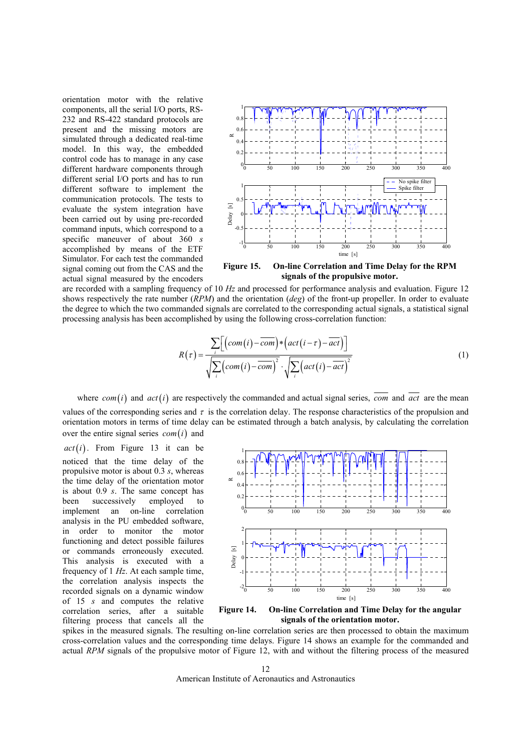orientation motor with the relative components, all the serial I/O ports, RS-232 and RS-422 standard protocols are present and the missing motors are simulated through a dedicated real-time model. In this way, the embedded control code has to manage in any case different hardware components through different serial I/O ports and has to run different software to implement the communication protocols. The tests to evaluate the system integration have been carried out by using pre-recorded command inputs, which correspond to a specific maneuver of about 360 *s* accomplished by means of the ETF Simulator. For each test the commanded signal coming out from the CAS and the actual signal measured by the encoders



**Figure 15. On-line Correlation and Time Delay for the RPM signals of the propulsive motor.** 

are recorded with a sampling frequency of 10 *Hz* and processed for performance analysis and evaluation. Figure 12 shows respectively the rate number (*RPM*) and the orientation (*deg*) of the front-up propeller. In order to evaluate the degree to which the two commanded signals are correlated to the corresponding actual signals, a statistical signal processing analysis has been accomplished by using the following cross-correlation function:

$$
R(\tau) = \frac{\sum_{i} \left[ \left( com(i) - \overline{com} \right) * \left( act(i - \tau) - \overline{act} \right) \right]}{\sqrt{\sum_{i} \left( com(i) - \overline{com} \right)^{2}} \cdot \sqrt{\sum_{i} \left( act(i) - \overline{act} \right)^{2}}}
$$
(1)

where  $com(i)$  and  $act(i)$  are respectively the commanded and actual signal series, *com* and  $\overline{act}$  are the mean values of the corresponding series and  $\tau$  is the correlation delay. The response characteristics of the propulsion and orientation motors in terms of time delay can be estimated through a batch analysis, by calculating the correlation over the entire signal series  $com(i)$  and

 $act(i)$ . From Figure 13 it can be noticed that the time delay of the propulsive motor is about 0.3 *s*, whereas the time delay of the orientation motor is about 0.9 *s*. The same concept has been successively employed to implement an on-line correlation analysis in the PU embedded software, in order to monitor the motor functioning and detect possible failures or commands erroneously executed. This analysis is executed with a frequency of 1 *Hz*. At each sample time, the correlation analysis inspects the recorded signals on a dynamic window of 15 *s* and computes the relative correlation series, after a suitable filtering process that cancels all the



**Figure 14. On-line Correlation and Time Delay for the angular signals of the orientation motor.** 

spikes in the measured signals. The resulting on-line correlation series are then processed to obtain the maximum cross-correlation values and the corresponding time delays. Figure 14 shows an example for the commanded and actual *RPM* signals of the propulsive motor of Figure 12, with and without the filtering process of the measured

American Institute of Aeronautics and Astronautics 12